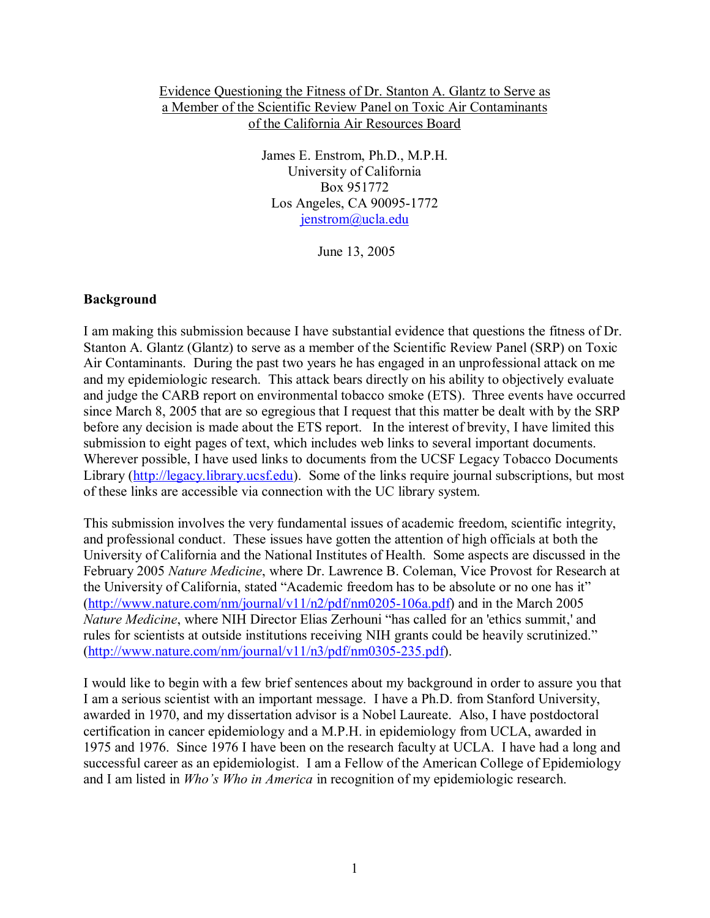## Evidence Questioning the Fitness of Dr. Stanton A. Glantz to Serve as a Member of the Scientific Review Panel on Toxic Air Contaminants of the California Air Resources Board

James E. Enstrom, Ph.D., M.P.H. University of California Box 951772 Los Angeles, CA 90095-1772 jenstrom@ucla.edu

June 13, 2005

#### **Background**

I am making this submission because I have substantial evidence that questions the fitness of Dr. Stanton A. Glantz (Glantz) to serve as a member of the Scientific Review Panel (SRP) on Toxic Air Contaminants. During the past two years he has engaged in an unprofessional attack on me and my epidemiologic research. This attack bears directly on his ability to objectively evaluate and judge the CARB report on environmental tobacco smoke (ETS). Three events have occurred since March 8, 2005 that are so egregious that I request that this matter be dealt with by the SRP before any decision is made about the ETS report. In the interest of brevity, I have limited this submission to eight pages of text, which includes web links to several important documents. Wherever possible, I have used links to documents from the UCSF Legacy Tobacco Documents Library (http://legacy.library.ucsf.edu). Some of the links require journal subscriptions, but most of these links are accessible via connection with the UC library system.

This submission involves the very fundamental issues of academic freedom, scientific integrity, and professional conduct. These issues have gotten the attention of high officials at both the University of California and the National Institutes of Health. Some aspects are discussed in the February 2005 *Nature Medicine*, where Dr. Lawrence B. Coleman, Vice Provost for Research at the University of California, stated "Academic freedom has to be absolute or no one has it"  $(\frac{http://www.nature.com/nm/journal/v11/n2/pdf/nm0205-106a.pdf}{amp;}$  and in the March 2005 *Nature Medicine*, where NIH Director Elias Zerhouni "has called for an 'ethics summit,' and rules for scientists at outside institutions receiving NIH grants could be heavily scrutinized." (http://www.nature.com/nm/journal/v11/n3/pdf/nm0305-235.pdf).

I would like to begin with a few brief sentences about my background in order to assure you that I am a serious scientist with an important message. I have a Ph.D. from Stanford University, awarded in 1970, and my dissertation advisor is a Nobel Laureate. Also, I have postdoctoral certification in cancer epidemiology and a M.P.H. in epidemiology from UCLA, awarded in 1975 and 1976. Since 1976 I have been on the research faculty at UCLA. I have had a long and successful career as an epidemiologist. I am a Fellow of the American College of Epidemiology and I am listed in *Who's Who in America* in recognition of my epidemiologic research.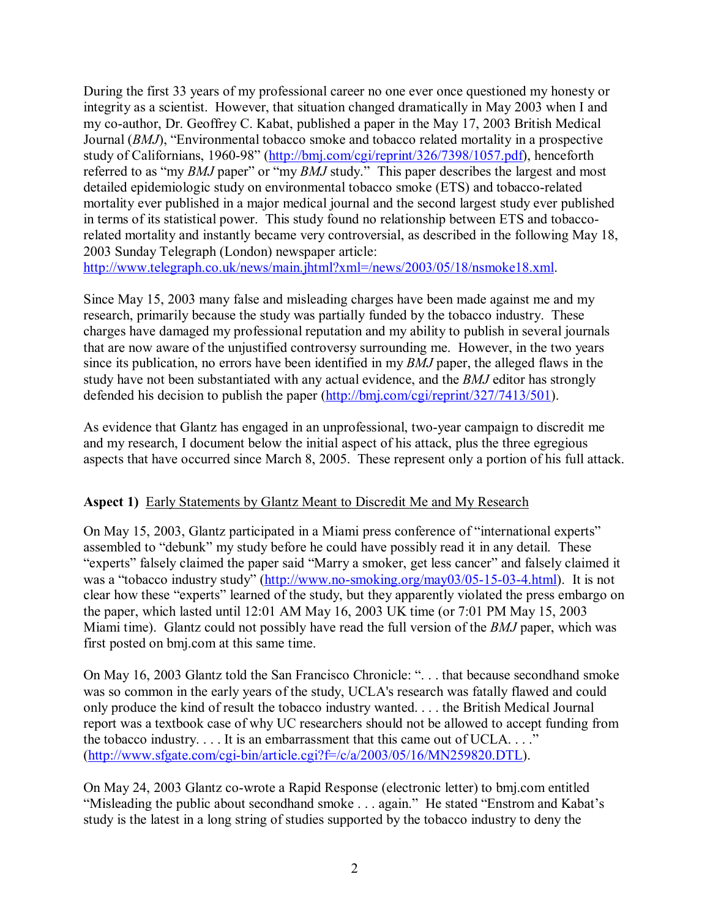During the first 33 years of my professional career no one ever once questioned my honesty or integrity as a scientist. However, that situation changed dramatically in May 2003 when I and my co-author, Dr. Geoffrey C. Kabat, published a paper in the May 17, 2003 British Medical Journal (*BMJ*), "Environmental tobacco smoke and tobacco related mortality in a prospective study of Californians, 1960-98" (http://bmj.com/cgi/reprint/326/7398/1057.pdf), henceforth referred to as "my *BMJ* paper" or "my *BMJ* study." This paper describes the largest and most detailed epidemiologic study on environmental tobacco smoke (ETS) and tobacco-related mortality ever published in a major medical journal and the second largest study ever published in terms of its statistical power. This study found no relationship between ETS and tobaccorelated mortality and instantly became very controversial, as described in the following May 18, 2003 Sunday Telegraph (London) newspaper article:

http://www.telegraph.co.uk/news/main.jhtml?xml=/news/2003/05/18/nsmoke18.xml.

Since May 15, 2003 many false and misleading charges have been made against me and my research, primarily because the study was partially funded by the tobacco industry. These charges have damaged my professional reputation and my ability to publish in several journals that are now aware of the unjustified controversy surrounding me. However, in the two years since its publication, no errors have been identified in my *BMJ* paper, the alleged flaws in the study have not been substantiated with any actual evidence, and the *BMJ* editor has strongly defended his decision to publish the paper (http://bmj.com/cgi/reprint/327/7413/501).

As evidence that Glantz has engaged in an unprofessional, two-year campaign to discredit me and my research, I document below the initial aspect of his attack, plus the three egregious aspects that have occurred since March 8, 2005. These represent only a portion of his full attack.

## **Aspect 1)** Early Statements by Glantz Meant to Discredit Me and My Research

On May 15, 2003, Glantz participated in a Miami press conference of "international experts" assembled to "debunk" my study before he could have possibly read it in any detail. These "experts" falsely claimed the paper said "Marry a smoker, get less cancer" and falsely claimed it was a "tobacco industry study" (http://www.no-smoking.org/may03/05-15-03-4.html). It is not clear how these "experts" learned of the study, but they apparently violated the press embargo on the paper, which lasted until 12:01 AM May 16, 2003 UK time (or 7:01 PM May 15, 2003 Miami time). Glantz could not possibly have read the full version of the *BMJ* paper, which was first posted on bmj.com at this same time.

On May 16, 2003 Glantz told the San Francisco Chronicle: ". . . that because secondhand smoke was so common in the early years of the study, UCLA's research was fatally flawed and could only produce the kind of result the tobacco industry wanted. . . . the British Medical Journal report was a textbook case of why UC researchers should not be allowed to accept funding from the tobacco industry. . . . It is an embarrassment that this came out of UCLA. . . ." (http://www.sfgate.com/cgi-bin/article.cgi?f=/c/a/2003/05/16/MN259820.DTL).

On May 24, 2003 Glantz co-wrote a Rapid Response (electronic letter) to bmj.com entitled "Misleading the public about secondhand smoke . . . again." He stated "Enstrom and Kabat's study is the latest in a long string of studies supported by the tobacco industry to deny the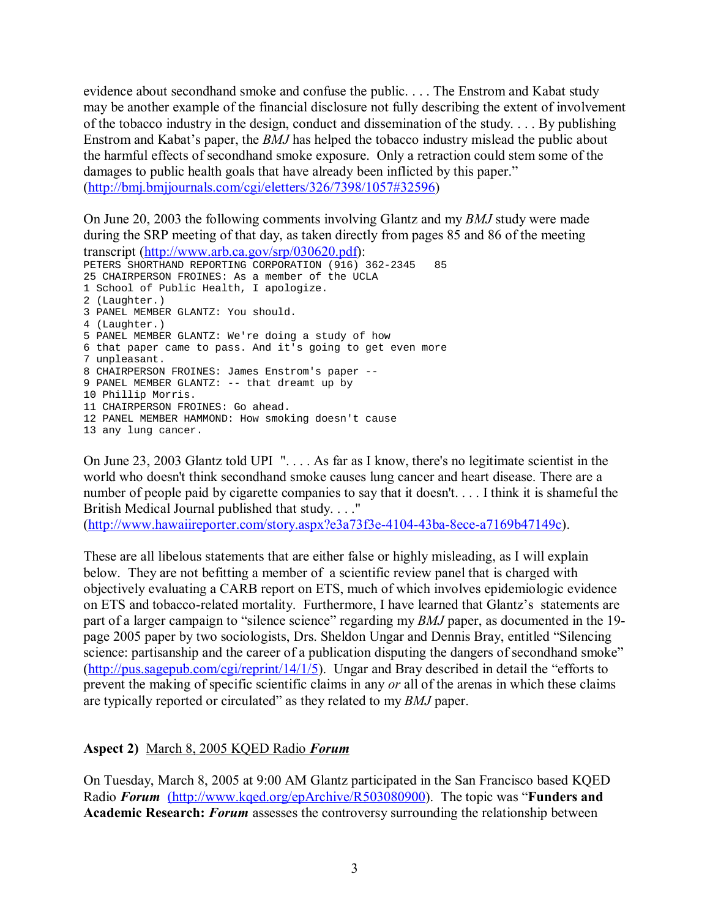evidence about secondhand smoke and confuse the public. . . . The Enstrom and Kabat study may be another example of the financial disclosure not fully describing the extent of involvement of the tobacco industry in the design, conduct and dissemination of the study. . . . By publishing Enstrom and Kabat's paper, the *BMJ* has helped the tobacco industry mislead the public about the harmful effects of secondhand smoke exposure. Only a retraction could stem some of the damages to public health goals that have already been inflicted by this paper." (http://bmj.bmjjournals.com/cgi/eletters/326/7398/1057#32596)

On June 20, 2003 the following comments involving Glantz and my *BMJ* study were made during the SRP meeting of that day, as taken directly from pages 85 and 86 of the meeting transcript (http://www.arb.ca.gov/srp/030620.pdf):

PETERS SHORTHAND REPORTING CORPORATION (916) 362-2345 85 25 CHAIRPERSON FROINES: As a member of the UCLA 1 School of Public Health, I apologize. 2 (Laughter.) 3 PANEL MEMBER GLANTZ: You should. 4 (Laughter.) 5 PANEL MEMBER GLANTZ: We're doing a study of how 6 that paper came to pass. And it's going to get even more 7 unpleasant. 8 CHAIRPERSON FROINES: James Enstrom's paper -- 9 PANEL MEMBER GLANTZ: -- that dreamt up by 10 Phillip Morris. 11 CHAIRPERSON FROINES: Go ahead. 12 PANEL MEMBER HAMMOND: How smoking doesn't cause 13 any lung cancer.

On June 23, 2003 Glantz told UPI ". . . . As far as I know, there's no legitimate scientist in the world who doesn't think secondhand smoke causes lung cancer and heart disease. There are a number of people paid by cigarette companies to say that it doesn't. . . . I think it is shameful the British Medical Journal published that study. . . ."

(http://www.hawaiireporter.com/story.aspx?e3a73f3e-4104-43ba-8ece-a7169b47149c).

These are all libelous statements that are either false or highly misleading, as I will explain below. They are not befitting a member of a scientific review panel that is charged with objectively evaluating a CARB report on ETS, much of which involves epidemiologic evidence on ETS and tobacco-related mortality. Furthermore, I have learned that Glantz's statements are part of a larger campaign to "silence science" regarding my *BMJ* paper, as documented in the 19 page 2005 paper by two sociologists, Drs. Sheldon Ungar and Dennis Bray, entitled "Silencing science: partisanship and the career of a publication disputing the dangers of secondhand smoke" (http://pus.sagepub.com/cgi/reprint/14/1/5). Ungar and Bray described in detail the "efforts to prevent the making of specific scientific claims in any *or* all of the arenas in which these claims are typically reported or circulated" as they related to my *BMJ* paper.

## **Aspect 2)** March 8, 2005 KQED Radio *Forum*

On Tuesday, March 8, 2005 at 9:00 AM Glantz participated in the San Francisco based KQED Radio *Forum* (http://www.kqed.org/epArchive/R503080900). The topic was "**Funders and Academic Research:** *Forum* assesses the controversy surrounding the relationship between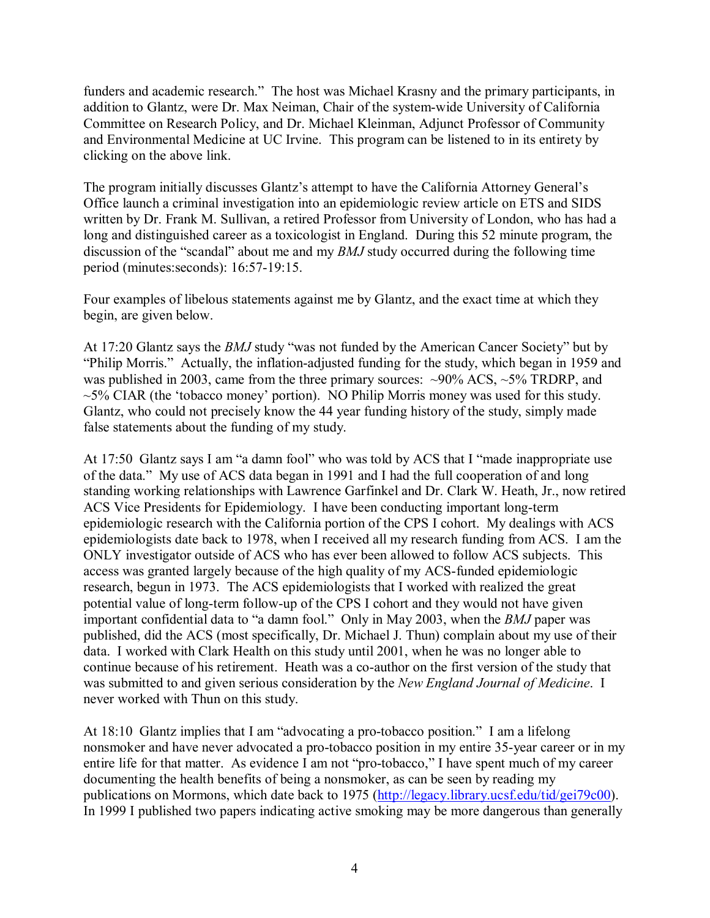funders and academic research." The host was Michael Krasny and the primary participants, in addition to Glantz, were Dr. Max Neiman, Chair of the system-wide University of California Committee on Research Policy, and Dr. Michael Kleinman, Adjunct Professor of Community and Environmental Medicine at UC Irvine. This program can be listened to in its entirety by clicking on the above link.

The program initially discusses Glantz's attempt to have the California Attorney General's Office launch a criminal investigation into an epidemiologic review article on ETS and SIDS written by Dr. Frank M. Sullivan, a retired Professor from University of London, who has had a long and distinguished career as a toxicologist in England. During this 52 minute program, the discussion of the "scandal" about me and my *BMJ* study occurred during the following time period (minutes:seconds): 16:57-19:15.

Four examples of libelous statements against me by Glantz, and the exact time at which they begin, are given below.

At 17:20 Glantz says the *BMJ* study "was not funded by the American Cancer Society" but by "Philip Morris." Actually, the inflation-adjusted funding for the study, which began in 1959 and was published in 2003, came from the three primary sources:  $\sim$ 90% ACS,  $\sim$ 5% TRDRP, and  $\sim$  5% CIAR (the 'tobacco money' portion). NO Philip Morris money was used for this study. Glantz, who could not precisely know the 44 year funding history of the study, simply made false statements about the funding of my study.

At 17:50 Glantz says I am "a damn fool" who was told by ACS that I "made inappropriate use of the data." My use of ACS data began in 1991 and I had the full cooperation of and long standing working relationships with Lawrence Garfinkel and Dr. Clark W. Heath, Jr., now retired ACS Vice Presidents for Epidemiology. I have been conducting important long-term epidemiologic research with the California portion of the CPS I cohort. My dealings with ACS epidemiologists date back to 1978, when I received all my research funding from ACS. I am the ONLY investigator outside of ACS who has ever been allowed to follow ACS subjects. This access was granted largely because of the high quality of my ACS-funded epidemiologic research, begun in 1973. The ACS epidemiologists that I worked with realized the great potential value of long-term follow-up of the CPS I cohort and they would not have given important confidential data to "a damn fool." Only in May 2003, when the *BMJ* paper was published, did the ACS (most specifically, Dr. Michael J. Thun) complain about my use of their data. I worked with Clark Health on this study until 2001, when he was no longer able to continue because of his retirement. Heath was a co-author on the first version of the study that was submitted to and given serious consideration by the *New England Journal of Medicine*. I never worked with Thun on this study.

At 18:10 Glantz implies that I am "advocating a pro-tobacco position." I am a lifelong nonsmoker and have never advocated a pro-tobacco position in my entire 35-year career or in my entire life for that matter. As evidence I am not "pro-tobacco," I have spent much of my career documenting the health benefits of being a nonsmoker, as can be seen by reading my publications on Mormons, which date back to 1975 (http://legacy.library.ucsf.edu/tid/gei79c00). In 1999 I published two papers indicating active smoking may be more dangerous than generally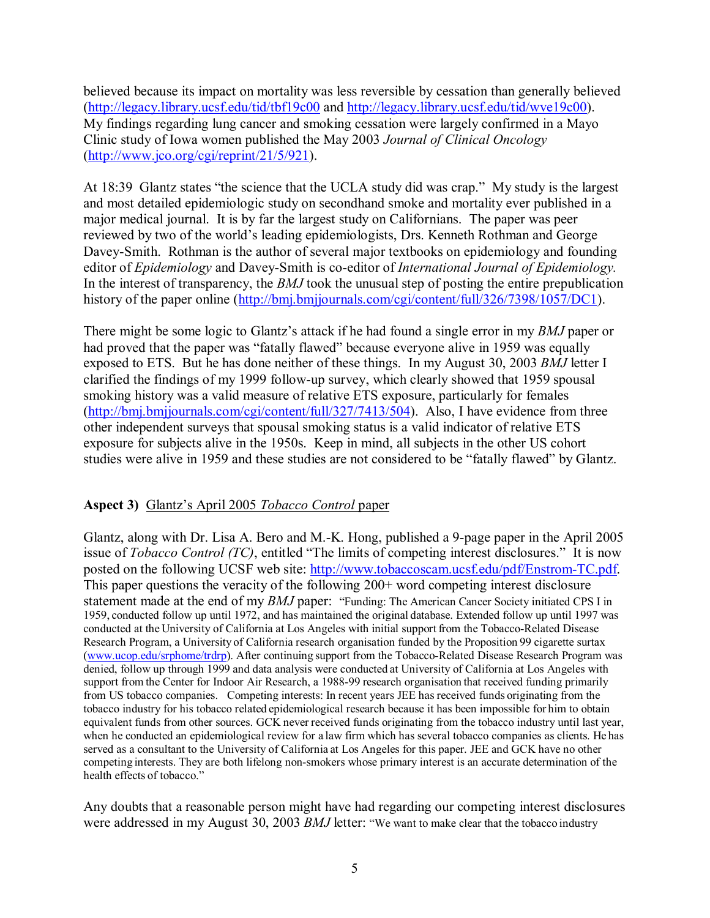believed because its impact on mortality was less reversible by cessation than generally believed (http://legacy.library.ucsf.edu/tid/tbf19c00 and http://legacy.library.ucsf.edu/tid/wve19c00). My findings regarding lung cancer and smoking cessation were largely confirmed in a Mayo Clinic study of Iowa women published the May 2003 *Journal of Clinical Oncology* (http://www.jco.org/cgi/reprint/21/5/921).

At 18:39 Glantz states "the science that the UCLA study did was crap." My study is the largest and most detailed epidemiologic study on secondhand smoke and mortality ever published in a major medical journal. It is by far the largest study on Californians. The paper was peer reviewed by two of the world's leading epidemiologists, Drs. Kenneth Rothman and George Davey-Smith. Rothman is the author of several major textbooks on epidemiology and founding editor of *Epidemiology* and Davey-Smith is co-editor of *International Journal of Epidemiology.* In the interest of transparency, the *BMJ* took the unusual step of posting the entire prepublication history of the paper online (http://bmj.bmjjournals.com/cgi/content/full/326/7398/1057/DC1).

There might be some logic to Glantz's attack if he had found a single error in my *BMJ* paper or had proved that the paper was "fatally flawed" because everyone alive in 1959 was equally exposed to ETS. But he has done neither of these things. In my August 30, 2003 *BMJ* letter I clarified the findings of my 1999 follow-up survey, which clearly showed that 1959 spousal smoking history was a valid measure of relative ETS exposure, particularly for females (http://bmj.bmjjournals.com/cgi/content/full/327/7413/504). Also, I have evidence from three other independent surveys that spousal smoking status is a valid indicator of relative ETS exposure for subjects alive in the 1950s. Keep in mind, all subjects in the other US cohort studies were alive in 1959 and these studies are not considered to be "fatally flawed" by Glantz.

## **Aspect 3)** Glantz's April 2005 *Tobacco Control* paper

Glantz, along with Dr. Lisa A. Bero and M.-K. Hong, published a 9-page paper in the April 2005 issue of *Tobacco Control (TC)*, entitled "The limits of competing interest disclosures." It is now posted on the following UCSF web site: http://www.tobaccoscam.ucsf.edu/pdf/Enstrom-TC.pdf. This paper questions the veracity of the following 200+ word competing interest disclosure statement made at the end of my *BMJ* paper: "Funding: The American Cancer Society initiated CPS I in 1959, conducted follow up until 1972, and has maintained the original database. Extended follow up until 1997 was conducted at the University of California at Los Angeles with initial support from the Tobacco-Related Disease Research Program, a University of California research organisation funded by the Proposition 99 cigarette surtax (www.ucop.edu/srphome/trdrp). After continuing support from the Tobacco-Related Disease Research Program was denied, follow up through 1999 and data analysis were conducted at University of California at Los Angeles with support from the Center for Indoor Air Research, a 1988-99 research organisation that received funding primarily from US tobacco companies. Competing interests: In recent years JEE has received funds originating from the tobacco industry for his tobacco related epidemiological research because it has been impossible for him to obtain equivalent funds from other sources. GCK never received funds originating from the tobacco industry until last year, when he conducted an epidemiological review for a law firm which has several tobacco companies as clients. He has served as a consultant to the University of California at Los Angeles for this paper. JEE and GCK have no other competing interests. They are both lifelong non-smokers whose primary interest is an accurate determination of the health effects of tobacco."

Any doubts that a reasonable person might have had regarding our competing interest disclosures were addressed in my August 30, 2003 *BMJ* letter: "We want to make clear that the tobacco industry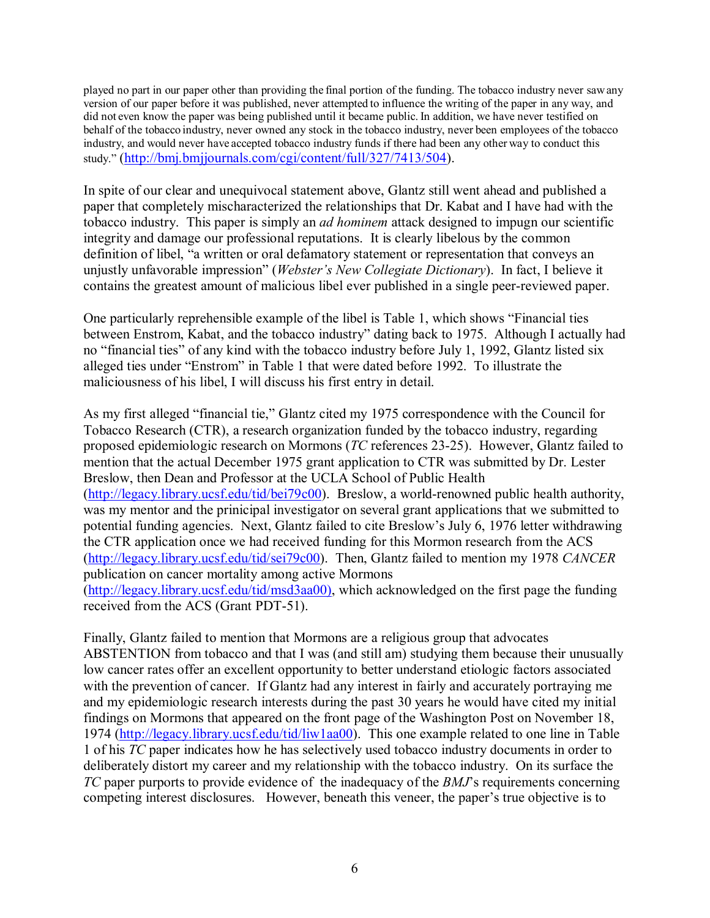played no part in our paper other than providing the final portion of the funding. The tobacco industry never sawany version of our paper before it was published, never attempted to influence the writing of the paper in any way, and did not even know the paper was being published until it became public. In addition, we have never testified on behalf of the tobacco industry, never owned any stock in the tobacco industry, never been employees of the tobacco industry, and would never have accepted tobacco industry funds if there had been any other way to conduct this study." (http://bmj.bmjjournals.com/cgi/content/full/327/7413/504).

In spite of our clear and unequivocal statement above, Glantz still went ahead and published a paper that completely mischaracterized the relationships that Dr. Kabat and I have had with the tobacco industry. This paper is simply an *ad hominem* attack designed to impugn our scientific integrity and damage our professional reputations. It is clearly libelous by the common definition of libel, "a written or oral defamatory statement or representation that conveys an unjustly unfavorable impression" (*Webster's New Collegiate Dictionary*). In fact, I believe it contains the greatest amount of malicious libel ever published in a single peer-reviewed paper.

One particularly reprehensible example of the libel is Table 1, which shows "Financial ties between Enstrom, Kabat, and the tobacco industry" dating back to 1975. Although I actually had no "financial ties" of any kind with the tobacco industry before July 1, 1992, Glantz listed six alleged ties under "Enstrom" in Table 1 that were dated before 1992. To illustrate the maliciousness of his libel, I will discuss his first entry in detail.

As my first alleged "financial tie," Glantz cited my 1975 correspondence with the Council for Tobacco Research (CTR), a research organization funded by the tobacco industry, regarding proposed epidemiologic research on Mormons (*TC* references 23-25). However, Glantz failed to mention that the actual December 1975 grant application to CTR was submitted by Dr. Lester Breslow, then Dean and Professor at the UCLA School of Public Health (http://legacy.library.ucsf.edu/tid/bei79c00). Breslow, a world-renowned public health authority, was my mentor and the prinicipal investigator on several grant applications that we submitted to potential funding agencies. Next, Glantz failed to cite Breslow's July 6, 1976 letter withdrawing the CTR application once we had received funding for this Mormon research from the ACS (http://legacy.library.ucsf.edu/tid/sei79c00). Then, Glantz failed to mention my 1978 *CANCER* publication on cancer mortality among active Mormons (http://legacy.library.ucsf.edu/tid/msd3aa00), which acknowledged on the first page the funding received from the ACS (Grant PDT-51).

Finally, Glantz failed to mention that Mormons are a religious group that advocates ABSTENTION from tobacco and that I was (and still am) studying them because their unusually low cancer rates offer an excellent opportunity to better understand etiologic factors associated with the prevention of cancer. If Glantz had any interest in fairly and accurately portraying me and my epidemiologic research interests during the past 30 years he would have cited my initial findings on Mormons that appeared on the front page of the Washington Post on November 18, 1974 (http://legacy.library.ucsf.edu/tid/liw1aa00). This one example related to one line in Table 1 of his *TC* paper indicates how he has selectively used tobacco industry documents in order to deliberately distort my career and my relationship with the tobacco industry. On its surface the *TC* paper purports to provide evidence of the inadequacy of the *BMJ*'s requirements concerning competing interest disclosures. However, beneath this veneer, the paper's true objective is to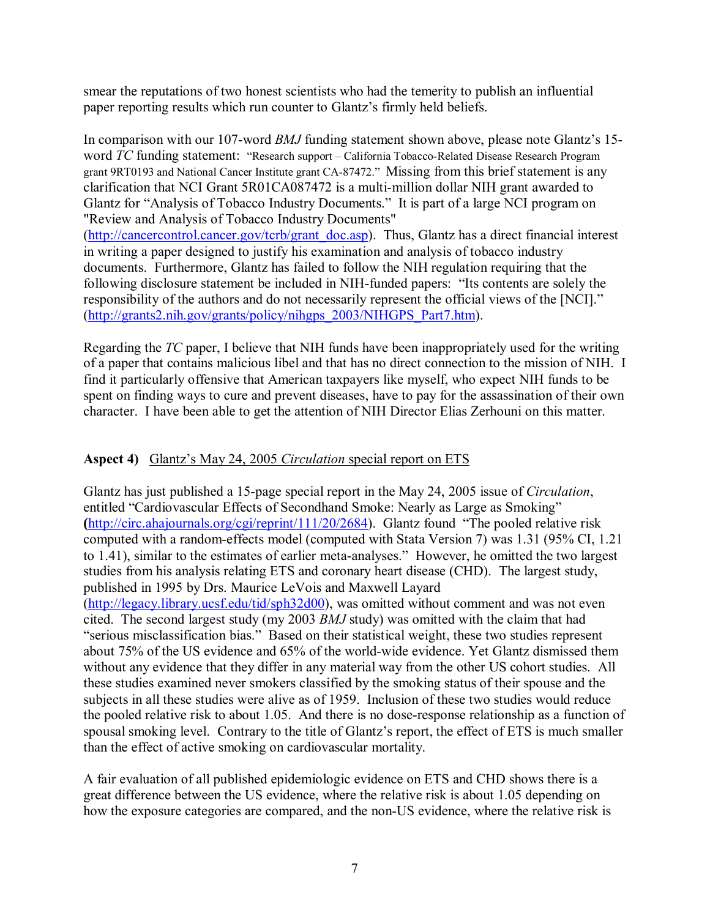smear the reputations of two honest scientists who had the temerity to publish an influential paper reporting results which run counter to Glantz's firmly held beliefs.

In comparison with our 107-word *BMJ* funding statement shown above, please note Glantz's 15 word *TC* funding statement: "Research support – California Tobacco-Related Disease Research Program grant 9RT0193 and National Cancer Institute grant CA-87472." Missing from this brief statement is any clarification that NCI Grant 5R01CA087472 is a multi-million dollar NIH grant awarded to Glantz for "Analysis of Tobacco Industry Documents." It is part of a large NCI program on "Review and Analysis of Tobacco Industry Documents" (http://cancercontrol.cancer.gov/tcrb/grant\_doc.asp). Thus, Glantz has a direct financial interest in writing a paper designed to justify his examination and analysis of tobacco industry documents. Furthermore, Glantz has failed to follow the NIH regulation requiring that the following disclosure statement be included in NIH-funded papers: "Its contents are solely the responsibility of the authors and do not necessarily represent the official views of the [NCI]." (http://grants2.nih.gov/grants/policy/nihgps\_2003/NIHGPS\_Part7.htm).

Regarding the *TC* paper, I believe that NIH funds have been inappropriately used for the writing of a paper that contains malicious libel and that has no direct connection to the mission of NIH. I find it particularly offensive that American taxpayers like myself, who expect NIH funds to be spent on finding ways to cure and prevent diseases, have to pay for the assassination of their own character. I have been able to get the attention of NIH Director Elias Zerhouni on this matter.

# **Aspect 4)** Glantz's May 24, 2005 *Circulation* special report on ETS

Glantz has just published a 15-page special report in the May 24, 2005 issue of *Circulation*, entitled "Cardiovascular Effects of Secondhand Smoke: Nearly as Large as Smoking" **(**http://circ.ahajournals.org/cgi/reprint/111/20/2684). Glantz found "The pooled relative risk computed with a random-effects model (computed with Stata Version 7) was 1.31 (95% CI, 1.21 to 1.41), similar to the estimates of earlier meta-analyses." However, he omitted the two largest studies from his analysis relating ETS and coronary heart disease (CHD). The largest study, published in 1995 by Drs. Maurice LeVois and Maxwell Layard (http://legacy.library.ucsf.edu/tid/sph32d00), was omitted without comment and was not even cited. The second largest study (my 2003 *BMJ* study) was omitted with the claim that had "serious misclassification bias." Based on their statistical weight, these two studies represent about 75% of the US evidence and 65% of the world-wide evidence. Yet Glantz dismissed them without any evidence that they differ in any material way from the other US cohort studies. All these studies examined never smokers classified by the smoking status of their spouse and the subjects in all these studies were alive as of 1959. Inclusion of these two studies would reduce the pooled relative risk to about 1.05. And there is no dose-response relationship as a function of spousal smoking level. Contrary to the title of Glantz's report, the effect of ETS is much smaller than the effect of active smoking on cardiovascular mortality.

A fair evaluation of all published epidemiologic evidence on ETS and CHD shows there is a great difference between the US evidence, where the relative risk is about 1.05 depending on how the exposure categories are compared, and the non-US evidence, where the relative risk is